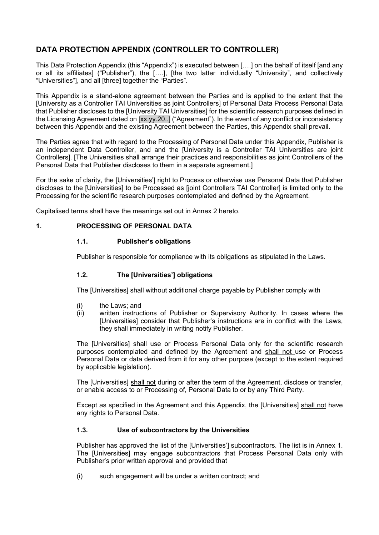# **DATA PROTECTION APPENDIX (CONTROLLER TO CONTROLLER)**

This Data Protection Appendix (this "Appendix") is executed between [….] on the behalf of itself [and any or all its affiliates] ("Publisher"), the [….], [the two latter individually "University", and collectively "Universities"], and all [three] together the "Parties".

This Appendix is a stand-alone agreement between the Parties and is applied to the extent that the [University as a Controller TAI Universities as joint Controllers] of Personal Data Process Personal Data that Publisher discloses to the [University TAI Universities] for the scientific research purposes defined in the Licensing Agreement dated on [xx.yy.20..] ("Agreement"). In the event of any conflict or inconsistency between this Appendix and the existing Agreement between the Parties, this Appendix shall prevail.

The Parties agree that with regard to the Processing of Personal Data under this Appendix, Publisher is an independent Data Controller, and and the [University is a Controller TAI Universities are joint Controllers]. [The Universities shall arrange their practices and responsibilities as joint Controllers of the Personal Data that Publisher discloses to them in a separate agreement.]

For the sake of clarity, the [Universities'] right to Process or otherwise use Personal Data that Publisher discloses to the [Universities] to be Processed as [joint Controllers TAI Controller] is limited only to the Processing for the scientific research purposes contemplated and defined by the Agreement.

Capitalised terms shall have the meanings set out in Annex 2 hereto.

#### **1. PROCESSING OF PERSONAL DATA**

#### **1.1. Publisher's obligations**

Publisher is responsible for compliance with its obligations as stipulated in the Laws.

### **1.2. The [Universities'] obligations**

The [Universities] shall without additional charge payable by Publisher comply with

- (i) the Laws; and
- (ii) written instructions of Publisher or Supervisory Authority. In cases where the [Universities] consider that Publisher's instructions are in conflict with the Laws, they shall immediately in writing notify Publisher.

The [Universities] shall use or Process Personal Data only for the scientific research purposes contemplated and defined by the Agreement and shall not use or Process Personal Data or data derived from it for any other purpose (except to the extent required by applicable legislation).

The [Universities] shall not during or after the term of the Agreement, disclose or transfer, or enable access to or Processing of, Personal Data to or by any Third Party.

Except as specified in the Agreement and this Appendix, the [Universities] shall not have any rights to Personal Data.

#### **1.3. Use of subcontractors by the Universities**

Publisher has approved the list of the [Universities'] subcontractors. The list is in Annex 1. The [Universities] may engage subcontractors that Process Personal Data only with Publisher's prior written approval and provided that

(i) such engagement will be under a written contract; and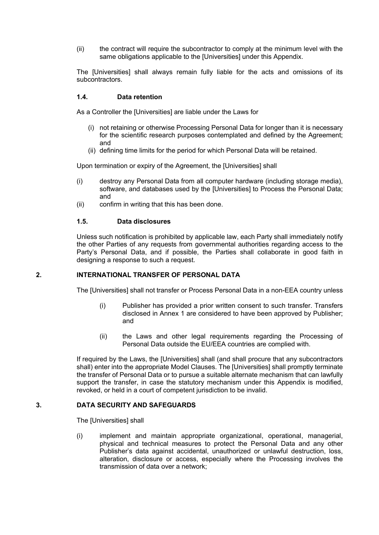(ii) the contract will require the subcontractor to comply at the minimum level with the same obligations applicable to the [Universities] under this Appendix.

The [Universities] shall always remain fully liable for the acts and omissions of its subcontractors.

#### **1.4. Data retention**

As a Controller the [Universities] are liable under the Laws for

- (i) not retaining or otherwise Processing Personal Data for longer than it is necessary for the scientific research purposes contemplated and defined by the Agreement; and
- (ii) defining time limits for the period for which Personal Data will be retained.

Upon termination or expiry of the Agreement, the [Universities] shall

- (i) destroy any Personal Data from all computer hardware (including storage media), software, and databases used by the [Universities] to Process the Personal Data; and
- (ii) confirm in writing that this has been done.

#### **1.5. Data disclosures**

Unless such notification is prohibited by applicable law, each Party shall immediately notify the other Parties of any requests from governmental authorities regarding access to the Party's Personal Data, and if possible, the Parties shall collaborate in good faith in designing a response to such a request.

#### **2. INTERNATIONAL TRANSFER OF PERSONAL DATA**

The [Universities] shall not transfer or Process Personal Data in a non-EEA country unless

- (i) Publisher has provided a prior written consent to such transfer. Transfers disclosed in Annex 1 are considered to have been approved by Publisher; and
- (ii) the Laws and other legal requirements regarding the Processing of Personal Data outside the EU/EEA countries are complied with.

If required by the Laws, the [Universities] shall (and shall procure that any subcontractors shall) enter into the appropriate Model Clauses. The [Universities] shall promptly terminate the transfer of Personal Data or to pursue a suitable alternate mechanism that can lawfully support the transfer, in case the statutory mechanism under this Appendix is modified, revoked, or held in a court of competent jurisdiction to be invalid.

#### **3. DATA SECURITY AND SAFEGUARDS**

The [Universities] shall

(i) implement and maintain appropriate organizational, operational, managerial, physical and technical measures to protect the Personal Data and any other Publisher's data against accidental, unauthorized or unlawful destruction. loss. alteration, disclosure or access, especially where the Processing involves the transmission of data over a network;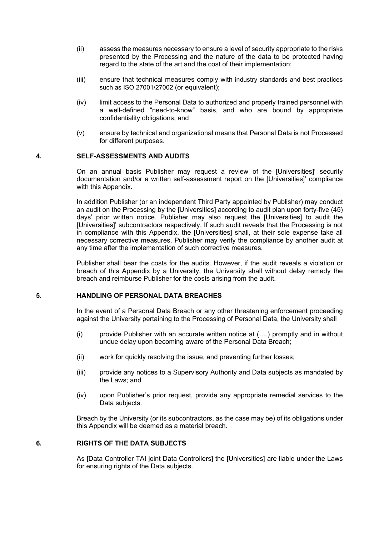- (ii) assess the measures necessary to ensure a level of security appropriate to the risks presented by the Processing and the nature of the data to be protected having regard to the state of the art and the cost of their implementation;
- (iii) ensure that technical measures comply with industry standards and best practices such as ISO 27001/27002 (or equivalent);
- (iv) limit access to the Personal Data to authorized and properly trained personnel with a well-defined "need-to-know" basis, and who are bound by appropriate confidentiality obligations; and
- (v) ensure by technical and organizational means that Personal Data is not Processed for different purposes.

#### **4. SELF-ASSESSMENTS AND AUDITS**

On an annual basis Publisher may request a review of the [Universities]' security documentation and/or a written self-assessment report on the [Universities]' compliance with this Appendix.

In addition Publisher (or an independent Third Party appointed by Publisher) may conduct an audit on the Processing by the [Universities] according to audit plan upon forty-five (45) days' prior written notice. Publisher may also request the [Universities] to audit the [Universities]' subcontractors respectively. If such audit reveals that the Processing is not in compliance with this Appendix, the [Universities] shall, at their sole expense take all necessary corrective measures. Publisher may verify the compliance by another audit at any time after the implementation of such corrective measures.

Publisher shall bear the costs for the audits. However, if the audit reveals a violation or breach of this Appendix by a University, the University shall without delay remedy the breach and reimburse Publisher for the costs arising from the audit.

#### **5. HANDLING OF PERSONAL DATA BREACHES**

In the event of a Personal Data Breach or any other threatening enforcement proceeding against the University pertaining to the Processing of Personal Data, the University shall

- (i) provide Publisher with an accurate written notice at (….) promptly and in without undue delay upon becoming aware of the Personal Data Breach;
- (ii) work for quickly resolving the issue, and preventing further losses;
- (iii) provide any notices to a Supervisory Authority and Data subjects as mandated by the Laws; and
- (iv) upon Publisher's prior request, provide any appropriate remedial services to the Data subjects.

Breach by the University (or its subcontractors, as the case may be) of its obligations under this Appendix will be deemed as a material breach.

#### **6. RIGHTS OF THE DATA SUBJECTS**

As [Data Controller TAI joint Data Controllers] the [Universities] are liable under the Laws for ensuring rights of the Data subjects.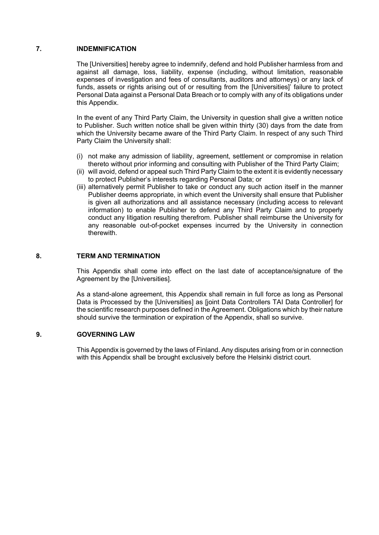#### **7. INDEMNIFICATION**

The [Universities] hereby agree to indemnify, defend and hold Publisher harmless from and against all damage, loss, liability, expense (including, without limitation, reasonable expenses of investigation and fees of consultants, auditors and attorneys) or any lack of funds. assets or rights arising out of or resulting from the [Universities]' failure to protect Personal Data against a Personal Data Breach or to comply with any of its obligations under this Appendix.

In the event of any Third Party Claim, the University in question shall give a written notice to Publisher. Such written notice shall be given within thirty (30) days from the date from which the University became aware of the Third Party Claim. In respect of any such Third Party Claim the University shall:

- (i) not make any admission of liability, agreement, settlement or compromise in relation thereto without prior informing and consulting with Publisher of the Third Party Claim;
- (ii) will avoid, defend or appeal such Third Party Claim to the extent it is evidently necessary to protect Publisher's interests regarding Personal Data; or
- (iii) alternatively permit Publisher to take or conduct any such action itself in the manner Publisher deems appropriate, in which event the University shall ensure that Publisher is given all authorizations and all assistance necessary (including access to relevant information) to enable Publisher to defend any Third Party Claim and to properly conduct any litigation resulting therefrom. Publisher shall reimburse the University for any reasonable out-of-pocket expenses incurred by the University in connection therewith.

#### **8. TERM AND TERMINATION**

This Appendix shall come into effect on the last date of acceptance/signature of the Agreement by the [Universities].

As a stand-alone agreement, this Appendix shall remain in full force as long as Personal Data is Processed by the [Universities] as [joint Data Controllers TAI Data Controller] for the scientific research purposes defined in the Agreement. Obligations which by their nature should survive the termination or expiration of the Appendix, shall so survive.

#### **9. GOVERNING LAW**

This Appendix is governed by the laws of Finland. Any disputes arising from or in connection with this Appendix shall be brought exclusively before the Helsinki district court.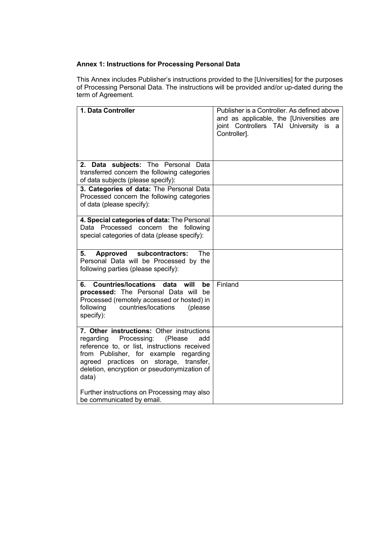# **Annex 1: Instructions for Processing Personal Data**

This Annex includes Publisher's instructions provided to the [Universities] for the purposes of Processing Personal Data. The instructions will be provided and/or up-dated during the term of Agreement.

| 1. Data Controller                                                                                                                                                                                                                                                                    | Publisher is a Controller. As defined above<br>and as applicable, the [Universities are<br>joint Controllers TAI University is a<br>Controller]. |
|---------------------------------------------------------------------------------------------------------------------------------------------------------------------------------------------------------------------------------------------------------------------------------------|--------------------------------------------------------------------------------------------------------------------------------------------------|
| 2. Data subjects: The Personal Data<br>transferred concern the following categories<br>of data subjects (please specify):                                                                                                                                                             |                                                                                                                                                  |
| 3. Categories of data: The Personal Data<br>Processed concern the following categories<br>of data (please specify):                                                                                                                                                                   |                                                                                                                                                  |
| 4. Special categories of data: The Personal<br>Data Processed concern the following<br>special categories of data (please specify):                                                                                                                                                   |                                                                                                                                                  |
| 5.<br>Approved<br>subcontractors:<br>The<br>Personal Data will be Processed by the<br>following parties (please specify):                                                                                                                                                             |                                                                                                                                                  |
| <b>Countries/locations</b><br>data<br>will<br>be<br>processed: The Personal Data will<br>be<br>Processed (remotely accessed or hosted) in<br>following<br>countries/locations<br>(please<br>specify):                                                                                 | Finland                                                                                                                                          |
| 7. Other instructions: Other instructions<br>regarding<br>Processing:<br>(Please<br>add<br>reference to, or list, instructions received<br>from Publisher, for example regarding<br>practices on storage, transfer,<br>agreed<br>deletion, encryption or pseudonymization of<br>data) |                                                                                                                                                  |
| Further instructions on Processing may also<br>be communicated by email.                                                                                                                                                                                                              |                                                                                                                                                  |